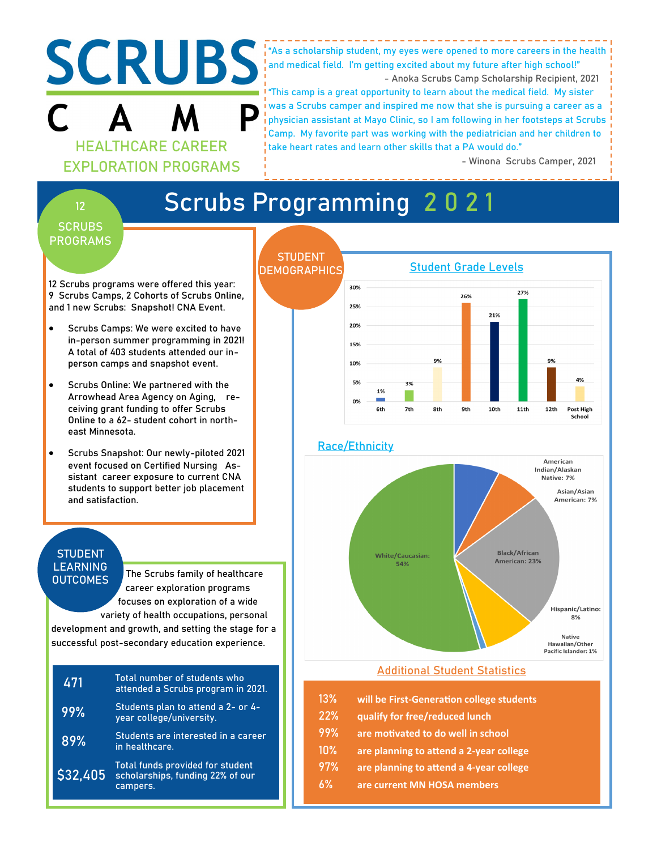

"As a scholarship student, my eyes were opened to more careers in the health and medical field. I'm getting excited about my future after high school!"

- Anoka Scrubs Camp Scholarship Recipient, 2021

"This camp is a great opportunity to learn about the medical field. My sister was a Scrubs camper and inspired me now that she is pursuing a career as a physician assistant at Mayo Clinic, so I am following in her footsteps at Scrubs Camp. My favorite part was working with the pediatrician and her children to take heart rates and learn other skills that a PA would do."

- Winona Scrubs Camper, 2021

# **Scrubs Programming 2 0 2 1**

### **SCRUBS PROGRAMS**

**12**

12 Scrubs programs were offered this year: 9 Scrubs Camps, 2 Cohorts of Scrubs Online, and 1 new Scrubs: Snapshot! CNA Event.

- Scrubs Camps: We were excited to have in-person summer programming in 2021! A total of 403 students attended our inperson camps and snapshot event.
- Scrubs Online: We partnered with the Arrowhead Area Agency on Aging, receiving grant funding to offer Scrubs Online to a 62- student cohort in northeast Minnesota.
- Scrubs Snapshot: Our newly-piloted 2021 event focused on Certified Nursing Assistant career exposure to current CNA students to support better job placement and satisfaction.

#### **STUDENT LEARNING OUTCOMES**

The Scrubs family of healthcare career exploration programs focuses on exploration of a wide variety of health occupations, personal

development and growth, and setting the stage for a successful post-secondary education experience.

| 471      | Total number of students who<br>attended a Scrubs program in 2021.               |
|----------|----------------------------------------------------------------------------------|
| 99%      | Students plan to attend a 2- or 4-<br>year college/university.                   |
| 89%      | Students are interested in a career<br>in healthcare.                            |
| \$32,405 | Total funds provided for student<br>scholarships, funding 22% of our<br>campers. |



- **13% will be First-Generation college students**
- **22% qualify for free/reduced lunch**
- **99% are motivated to do well in school**
- **10% are planning to attend a 2-year college**
- **97% are planning to attend a 4-year college**
- **6% are current MN HOSA members**